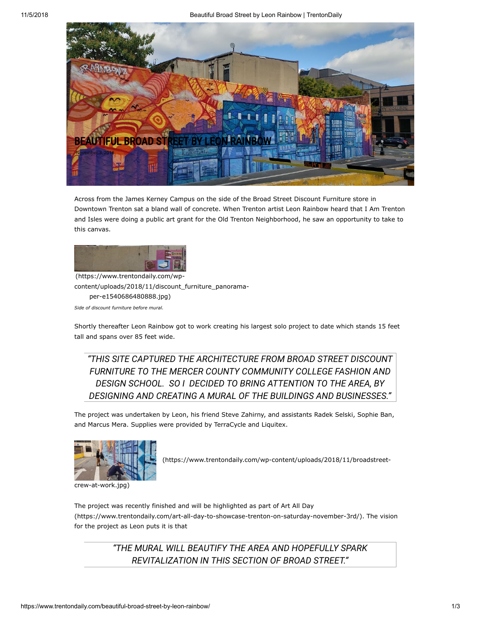11/5/2018 Beautiful Broad Street by Leon Rainbow | TrentonDaily



Across from the James Kerney Campus on the side of the Broad Street Discount Furniture store in Downtown Trenton sat a bland wall of concrete. When Trenton artist Leon Rainbow heard that I Am Trenton and Isles were doing a public art grant for the Old Trenton Neighborhood, he saw an opportunity to take to this canvas.



(https://www.trentondaily.com/wp[content/uploads/2018/11/discount\\_furniture\\_panorama](https://www.trentondaily.com/wp-content/uploads/2018/11/discount_furniture_panorama-per-e1540686480888.jpg)per-e1540686480888.jpg) *Side of discount furniture before mural.*

Shortly thereafter Leon Rainbow got to work creating his largest solo project to date which stands 15 feet tall and spans over 85 feet wide.

*"THIS SITE CAPTURED THE ARCHITECTURE FROM BROAD STREET DISCOUNT FURNITURE TO THE MERCER COUNTY COMMUNITY COLLEGE FASHION AND DESIGN SCHOOL. SO I DECIDED TO BRING ATTENTION TO THE AREA, BY DESIGNING AND CREATING A MURAL OF THE BUILDINGS AND BUSINESSES."*

The project was undertaken by Leon, his friend Steve Zahirny, and assistants Radek Selski, Sophie Ban, and Marcus Mera. Supplies were provided by TerraCycle and Liquitex.



 [\(https://www.trentondaily.com/wp-content/uploads/2018/11/broadstreet-](https://www.trentondaily.com/wp-content/uploads/2018/11/broadstreet-crew-at-work.jpg)

crew-at-work.jpg)

The project was recently finished and will be highlighted as part of Art All Day [\(https://www.trentondaily.com/art-all-day-to-showcase-trenton-on-saturday-november-3rd/\).](https://www.trentondaily.com/art-all-day-to-showcase-trenton-on-saturday-november-3rd/) The vision for the project as Leon puts it is that

> *"THE MURAL WILL BEAUTIFY THE AREA AND HOPEFULLY SPARK REVITALIZATION IN THIS SECTION OF BROAD STREET."*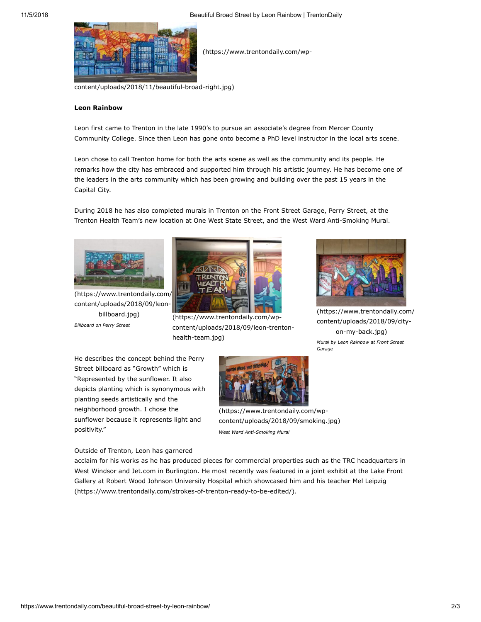

(https://www.trentondaily.com/wp-

[content/uploads/2018/11/beautiful-broad-right.jpg\)](https://www.trentondaily.com/wp-content/uploads/2018/11/beautiful-broad-right.jpg)

## **Leon Rainbow**

Leon first came to Trenton in the late 1990's to pursue an associate's degree from Mercer County Community College. Since then Leon has gone onto become a PhD level instructor in the local arts scene.

Leon chose to call Trenton home for both the arts scene as well as the community and its people. He remarks how the city has embraced and supported him through his artistic journey. He has become one of the leaders in the arts community which has been growing and building over the past 15 years in the Capital City.

During 2018 he has also completed murals in Trenton on the Front Street Garage, Perry Street, at the Trenton Health Team's new location at One West State Street, and the West Ward Anti-Smoking Mural.



(https://www.trentondaily.com/ content/uploads/2018/09/leonbillboard.jpg) *Billboard on Perry Street*



(https://www.trentondaily.com/wp[content/uploads/2018/09/leon-trenton](https://www.trentondaily.com/wp-content/uploads/2018/09/leon-trenton-health-team.jpg)health-team.jpg)



[\(https://www.trentondaily.com/](https://www.trentondaily.com/wp-content/uploads/2018/09/city-on-my-back.jpg) content/uploads/2018/09/cityon-my-back.jpg) *Mural by Leon Rainbow at Front Street Garage*

He describes the concept behind the Perry Street billboard as "Growth" which is "Represented by the sunflower. It also depicts planting which is synonymous with planting seeds artistically and the neighborhood growth. I chose the sunflower because it represents light and positivity."



[content/uploads/2018/09/smoking.jpg\)](https://www.trentondaily.com/wp-content/uploads/2018/09/smoking.jpg) *West Ward Anti-Smoking Mural*

Outside of Trenton, Leon has garnered

acclaim for his works as he has produced pieces for commercial properties such as the TRC headquarters in West Windsor and Jet.com in Burlington. He most recently was featured in a joint exhibit at the Lake Front [Gallery at Robert Wood Johnson University Hospital which showcased him and his teacher Mel Leipzig](https://www.trentondaily.com/strokes-of-trenton-ready-to-be-edited/) (https://www.trentondaily.com/strokes-of-trenton-ready-to-be-edited/).